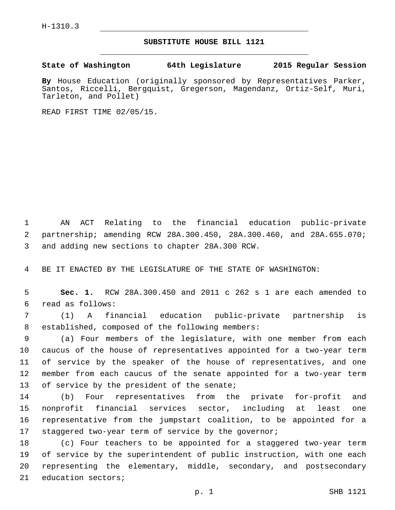## **SUBSTITUTE HOUSE BILL 1121**

**State of Washington 64th Legislature 2015 Regular Session**

**By** House Education (originally sponsored by Representatives Parker, Santos, Riccelli, Bergquist, Gregerson, Magendanz, Ortiz-Self, Muri, Tarleton, and Pollet)

READ FIRST TIME 02/05/15.

1 AN ACT Relating to the financial education public-private 2 partnership; amending RCW 28A.300.450, 28A.300.460, and 28A.655.070; 3 and adding new sections to chapter 28A.300 RCW.

4 BE IT ENACTED BY THE LEGISLATURE OF THE STATE OF WASHINGTON:

5 **Sec. 1.** RCW 28A.300.450 and 2011 c 262 s 1 are each amended to read as follows:6

7 (1) A financial education public-private partnership is 8 established, composed of the following members:

 (a) Four members of the legislature, with one member from each caucus of the house of representatives appointed for a two-year term of service by the speaker of the house of representatives, and one member from each caucus of the senate appointed for a two-year term 13 of service by the president of the senate;

 (b) Four representatives from the private for-profit and nonprofit financial services sector, including at least one representative from the jumpstart coalition, to be appointed for a staggered two-year term of service by the governor;

 (c) Four teachers to be appointed for a staggered two-year term of service by the superintendent of public instruction, with one each representing the elementary, middle, secondary, and postsecondary 21 education sectors;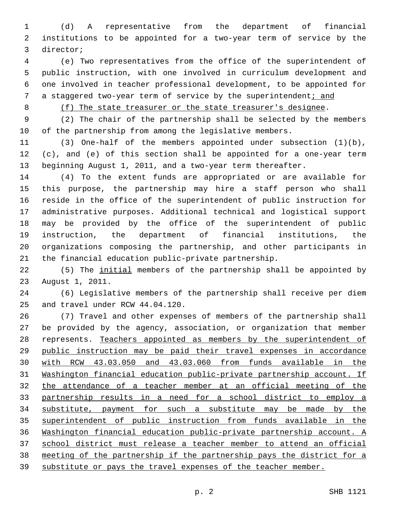(d) A representative from the department of financial institutions to be appointed for a two-year term of service by the 3 director;

 (e) Two representatives from the office of the superintendent of public instruction, with one involved in curriculum development and one involved in teacher professional development, to be appointed for a staggered two-year term of service by the superintendent; and

8 (f) The state treasurer or the state treasurer's designee.

 (2) The chair of the partnership shall be selected by the members of the partnership from among the legislative members.

 (3) One-half of the members appointed under subsection (1)(b), (c), and (e) of this section shall be appointed for a one-year term beginning August 1, 2011, and a two-year term thereafter.

 (4) To the extent funds are appropriated or are available for this purpose, the partnership may hire a staff person who shall reside in the office of the superintendent of public instruction for administrative purposes. Additional technical and logistical support may be provided by the office of the superintendent of public instruction, the department of financial institutions, the organizations composing the partnership, and other participants in the financial education public-private partnership.

 (5) The initial members of the partnership shall be appointed by 23 August 1, 2011.

 (6) Legislative members of the partnership shall receive per diem 25 and travel under RCW 44.04.120.

 (7) Travel and other expenses of members of the partnership shall be provided by the agency, association, or organization that member represents. Teachers appointed as members by the superintendent of public instruction may be paid their travel expenses in accordance with RCW 43.03.050 and 43.03.060 from funds available in the Washington financial education public-private partnership account. If the attendance of a teacher member at an official meeting of the partnership results in a need for a school district to employ a substitute, payment for such a substitute may be made by the superintendent of public instruction from funds available in the Washington financial education public-private partnership account. A school district must release a teacher member to attend an official meeting of the partnership if the partnership pays the district for a substitute or pays the travel expenses of the teacher member.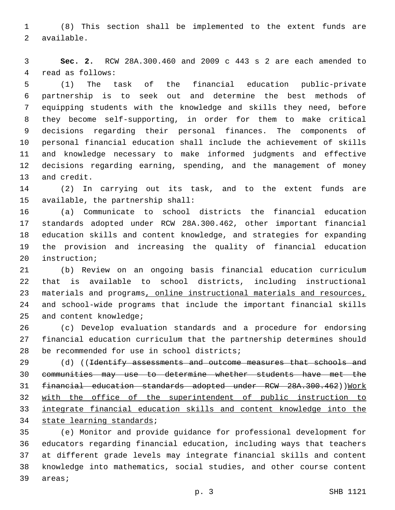(8) This section shall be implemented to the extent funds are 2 available.

 **Sec. 2.** RCW 28A.300.460 and 2009 c 443 s 2 are each amended to 4 read as follows:

 (1) The task of the financial education public-private partnership is to seek out and determine the best methods of equipping students with the knowledge and skills they need, before they become self-supporting, in order for them to make critical decisions regarding their personal finances. The components of personal financial education shall include the achievement of skills and knowledge necessary to make informed judgments and effective decisions regarding earning, spending, and the management of money 13 and credit.

 (2) In carrying out its task, and to the extent funds are 15 available, the partnership shall:

 (a) Communicate to school districts the financial education standards adopted under RCW 28A.300.462, other important financial education skills and content knowledge, and strategies for expanding the provision and increasing the quality of financial education 20 instruction;

 (b) Review on an ongoing basis financial education curriculum that is available to school districts, including instructional materials and programs, online instructional materials and resources, and school-wide programs that include the important financial skills 25 and content knowledge;

 (c) Develop evaluation standards and a procedure for endorsing financial education curriculum that the partnership determines should 28 be recommended for use in school districts;

29 (d) ((Identify assessments and outcome measures that schools and communities may use to determine whether students have met the 31 financial education standards adopted under RCW 28A.300.462))Work 32 with the office of the superintendent of public instruction to integrate financial education skills and content knowledge into the 34 state learning standards;

 (e) Monitor and provide guidance for professional development for educators regarding financial education, including ways that teachers at different grade levels may integrate financial skills and content knowledge into mathematics, social studies, and other course content 39 areas;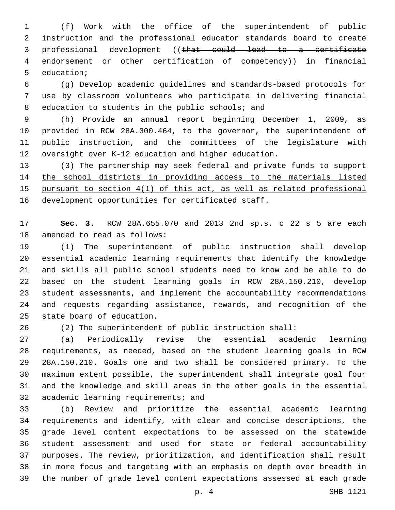(f) Work with the office of the superintendent of public instruction and the professional educator standards board to create professional development ((that could lead to a certificate endorsement or other certification of competency)) in financial 5 education;

 (g) Develop academic guidelines and standards-based protocols for use by classroom volunteers who participate in delivering financial 8 education to students in the public schools; and

 (h) Provide an annual report beginning December 1, 2009, as provided in RCW 28A.300.464, to the governor, the superintendent of public instruction, and the committees of the legislature with oversight over K-12 education and higher education.

 (3) The partnership may seek federal and private funds to support the school districts in providing access to the materials listed pursuant to section 4(1) of this act, as well as related professional 16 development opportunities for certificated staff.

 **Sec. 3.** RCW 28A.655.070 and 2013 2nd sp.s. c 22 s 5 are each 18 amended to read as follows:

 (1) The superintendent of public instruction shall develop essential academic learning requirements that identify the knowledge and skills all public school students need to know and be able to do based on the student learning goals in RCW 28A.150.210, develop student assessments, and implement the accountability recommendations and requests regarding assistance, rewards, and recognition of the 25 state board of education.

(2) The superintendent of public instruction shall:

 (a) Periodically revise the essential academic learning requirements, as needed, based on the student learning goals in RCW 28A.150.210. Goals one and two shall be considered primary. To the maximum extent possible, the superintendent shall integrate goal four and the knowledge and skill areas in the other goals in the essential 32 academic learning requirements; and

 (b) Review and prioritize the essential academic learning requirements and identify, with clear and concise descriptions, the grade level content expectations to be assessed on the statewide student assessment and used for state or federal accountability purposes. The review, prioritization, and identification shall result in more focus and targeting with an emphasis on depth over breadth in the number of grade level content expectations assessed at each grade

p. 4 SHB 1121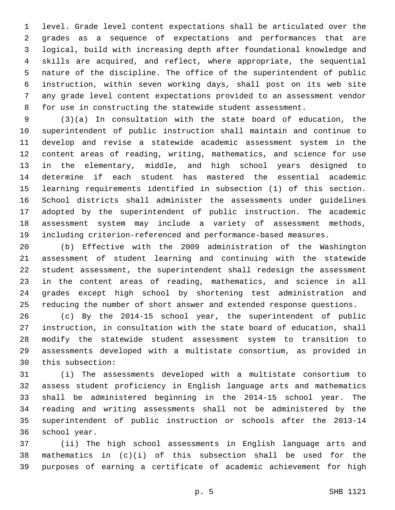level. Grade level content expectations shall be articulated over the grades as a sequence of expectations and performances that are logical, build with increasing depth after foundational knowledge and skills are acquired, and reflect, where appropriate, the sequential nature of the discipline. The office of the superintendent of public instruction, within seven working days, shall post on its web site any grade level content expectations provided to an assessment vendor for use in constructing the statewide student assessment.

 (3)(a) In consultation with the state board of education, the superintendent of public instruction shall maintain and continue to develop and revise a statewide academic assessment system in the content areas of reading, writing, mathematics, and science for use in the elementary, middle, and high school years designed to determine if each student has mastered the essential academic learning requirements identified in subsection (1) of this section. School districts shall administer the assessments under guidelines adopted by the superintendent of public instruction. The academic assessment system may include a variety of assessment methods, including criterion-referenced and performance-based measures.

 (b) Effective with the 2009 administration of the Washington assessment of student learning and continuing with the statewide student assessment, the superintendent shall redesign the assessment in the content areas of reading, mathematics, and science in all grades except high school by shortening test administration and reducing the number of short answer and extended response questions.

 (c) By the 2014-15 school year, the superintendent of public instruction, in consultation with the state board of education, shall modify the statewide student assessment system to transition to assessments developed with a multistate consortium, as provided in 30 this subsection:

 (i) The assessments developed with a multistate consortium to assess student proficiency in English language arts and mathematics shall be administered beginning in the 2014-15 school year. The reading and writing assessments shall not be administered by the superintendent of public instruction or schools after the 2013-14 36 school year.

 (ii) The high school assessments in English language arts and mathematics in (c)(i) of this subsection shall be used for the purposes of earning a certificate of academic achievement for high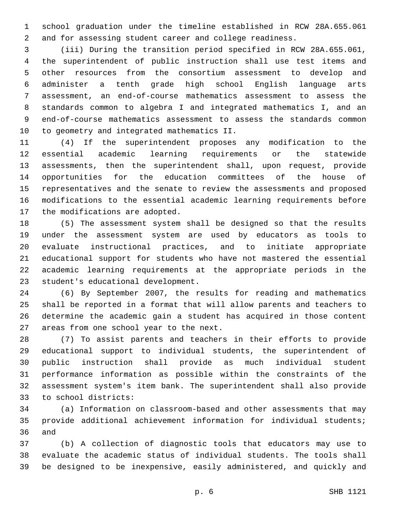school graduation under the timeline established in RCW 28A.655.061 and for assessing student career and college readiness.

 (iii) During the transition period specified in RCW 28A.655.061, the superintendent of public instruction shall use test items and other resources from the consortium assessment to develop and administer a tenth grade high school English language arts assessment, an end-of-course mathematics assessment to assess the standards common to algebra I and integrated mathematics I, and an end-of-course mathematics assessment to assess the standards common 10 to geometry and integrated mathematics II.

 (4) If the superintendent proposes any modification to the essential academic learning requirements or the statewide assessments, then the superintendent shall, upon request, provide opportunities for the education committees of the house of representatives and the senate to review the assessments and proposed modifications to the essential academic learning requirements before 17 the modifications are adopted.

 (5) The assessment system shall be designed so that the results under the assessment system are used by educators as tools to evaluate instructional practices, and to initiate appropriate educational support for students who have not mastered the essential academic learning requirements at the appropriate periods in the 23 student's educational development.

 (6) By September 2007, the results for reading and mathematics shall be reported in a format that will allow parents and teachers to determine the academic gain a student has acquired in those content 27 areas from one school year to the next.

 (7) To assist parents and teachers in their efforts to provide educational support to individual students, the superintendent of public instruction shall provide as much individual student performance information as possible within the constraints of the assessment system's item bank. The superintendent shall also provide to school districts:33

 (a) Information on classroom-based and other assessments that may provide additional achievement information for individual students; 36 and

 (b) A collection of diagnostic tools that educators may use to evaluate the academic status of individual students. The tools shall be designed to be inexpensive, easily administered, and quickly and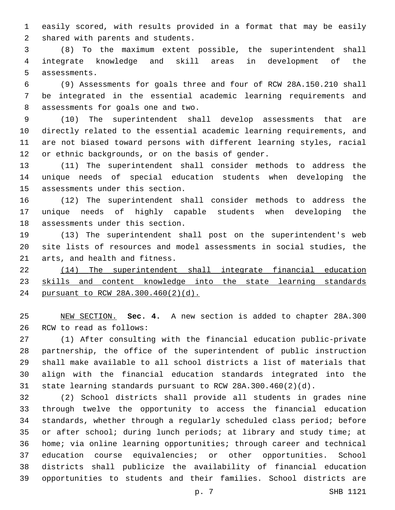easily scored, with results provided in a format that may be easily 2 shared with parents and students.

 (8) To the maximum extent possible, the superintendent shall integrate knowledge and skill areas in development of the 5 assessments.

 (9) Assessments for goals three and four of RCW 28A.150.210 shall be integrated in the essential academic learning requirements and 8 assessments for goals one and two.

 (10) The superintendent shall develop assessments that are directly related to the essential academic learning requirements, and are not biased toward persons with different learning styles, racial 12 or ethnic backgrounds, or on the basis of gender.

 (11) The superintendent shall consider methods to address the unique needs of special education students when developing the 15 assessments under this section.

 (12) The superintendent shall consider methods to address the unique needs of highly capable students when developing the 18 assessments under this section.

 (13) The superintendent shall post on the superintendent's web site lists of resources and model assessments in social studies, the 21 arts, and health and fitness.

 (14) The superintendent shall integrate financial education 23 skills and content knowledge into the state learning standards pursuant to RCW 28A.300.460(2)(d).

 NEW SECTION. **Sec. 4.** A new section is added to chapter 28A.300 26 RCW to read as follows:

 (1) After consulting with the financial education public-private partnership, the office of the superintendent of public instruction shall make available to all school districts a list of materials that align with the financial education standards integrated into the state learning standards pursuant to RCW 28A.300.460(2)(d).

 (2) School districts shall provide all students in grades nine through twelve the opportunity to access the financial education standards, whether through a regularly scheduled class period; before or after school; during lunch periods; at library and study time; at home; via online learning opportunities; through career and technical education course equivalencies; or other opportunities. School districts shall publicize the availability of financial education opportunities to students and their families. School districts are

p. 7 SHB 1121